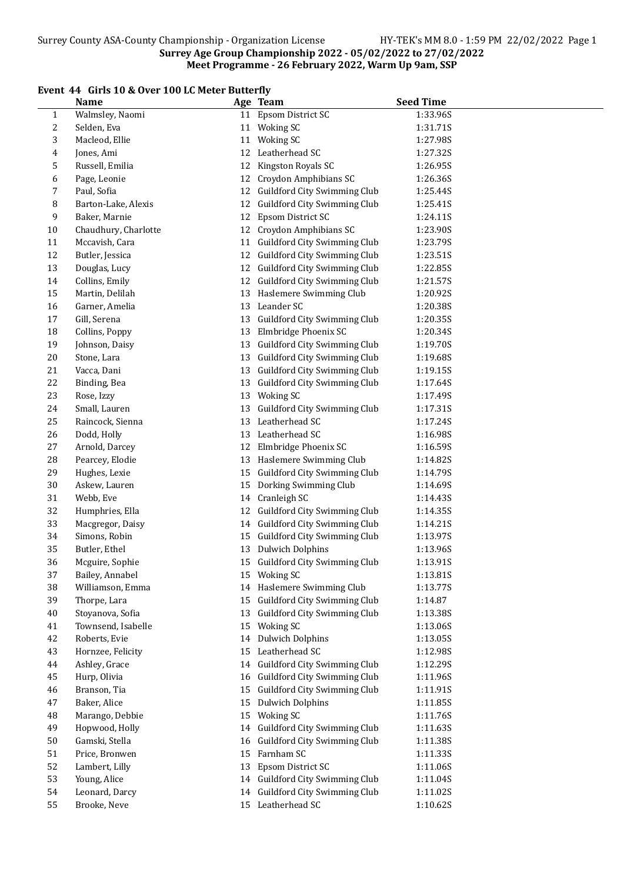# Event 44 Girls 10 & Over 100 LC Meter Butterfly

|              | all is to & over too LC meter butterily |    |                                 |                  |
|--------------|-----------------------------------------|----|---------------------------------|------------------|
|              | <b>Name</b>                             |    | Age Team                        | <b>Seed Time</b> |
| $\mathbf{1}$ | Walmsley, Naomi                         |    | 11 Epsom District SC            | 1:33.96S         |
| 2            | Selden, Eva                             |    | 11 Woking SC                    | 1:31.71S         |
| 3            | Macleod, Ellie                          |    | 11 Woking SC                    | 1:27.98S         |
| 4            | Jones, Ami                              | 12 | Leatherhead SC                  | 1:27.32S         |
| 5            | Russell, Emilia                         | 12 | Kingston Royals SC              | 1:26.95S         |
| 6            | Page, Leonie                            |    | 12 Croydon Amphibians SC        | 1:26.36S         |
| 7            | Paul, Sofia                             |    | 12 Guildford City Swimming Club | 1:25.44S         |
| 8            | Barton-Lake, Alexis                     |    | 12 Guildford City Swimming Club | 1:25.41S         |
| 9            | Baker, Marnie                           |    | 12 Epsom District SC            | 1:24.11S         |
| 10           | Chaudhury, Charlotte                    |    | 12 Croydon Amphibians SC        | 1:23.90S         |
| 11           | Mccavish, Cara                          |    | 11 Guildford City Swimming Club | 1:23.79S         |
| 12           | Butler, Jessica                         |    | 12 Guildford City Swimming Club | 1:23.51S         |
| 13           | Douglas, Lucy                           |    | 12 Guildford City Swimming Club | 1:22.85S         |
| 14           | Collins, Emily                          |    | 12 Guildford City Swimming Club | 1:21.57S         |
| 15           | Martin, Delilah                         | 13 | Haslemere Swimming Club         | 1:20.92S         |
| 16           |                                         |    | Leander SC                      |                  |
|              | Garner, Amelia                          | 13 |                                 | 1:20.38S         |
| $17\,$       | Gill, Serena                            | 13 | Guildford City Swimming Club    | 1:20.35S         |
| 18           | Collins, Poppy                          | 13 | Elmbridge Phoenix SC            | 1:20.34S         |
| 19           | Johnson, Daisy                          |    | 13 Guildford City Swimming Club | 1:19.70S         |
| 20           | Stone, Lara                             |    | 13 Guildford City Swimming Club | 1:19.68S         |
| 21           | Vacca, Dani                             |    | 13 Guildford City Swimming Club | 1:19.15S         |
| 22           | Binding, Bea                            |    | 13 Guildford City Swimming Club | 1:17.64S         |
| 23           | Rose, Izzy                              |    | 13 Woking SC                    | 1:17.49S         |
| 24           | Small, Lauren                           |    | 13 Guildford City Swimming Club | 1:17.31S         |
| 25           | Raincock, Sienna                        |    | 13 Leatherhead SC               | 1:17.24S         |
| 26           | Dodd, Holly                             |    | 13 Leatherhead SC               | 1:16.98S         |
| 27           | Arnold, Darcey                          |    | 12 Elmbridge Phoenix SC         | 1:16.59S         |
| 28           | Pearcey, Elodie                         |    | 13 Haslemere Swimming Club      | 1:14.82S         |
| 29           | Hughes, Lexie                           |    | 15 Guildford City Swimming Club | 1:14.79S         |
| 30           | Askew, Lauren                           | 15 | Dorking Swimming Club           | 1:14.69S         |
| 31           | Webb, Eve                               |    | 14 Cranleigh SC                 | 1:14.43S         |
| 32           | Humphries, Ella                         |    | 12 Guildford City Swimming Club | 1:14.35S         |
| 33           | Macgregor, Daisy                        |    | 14 Guildford City Swimming Club | 1:14.21S         |
| 34           | Simons, Robin                           |    | 15 Guildford City Swimming Club | 1:13.97S         |
| 35           | Butler, Ethel                           |    | 13 Dulwich Dolphins             | 1:13.96S         |
| 36           | Mcguire, Sophie                         |    | 15 Guildford City Swimming Club | 1:13.91S         |
| 37           | Bailey, Annabel                         |    | 15 Woking SC                    | 1:13.81S         |
| 38           | Williamson, Emma                        |    | 14 Haslemere Swimming Club      | 1:13.77S         |
| 39           | Thorpe, Lara                            | 15 | Guildford City Swimming Club    | 1:14.87          |
| $40\,$       | Stoyanova, Sofia                        | 13 | Guildford City Swimming Club    | 1:13.38S         |
| 41           | Townsend, Isabelle                      |    | 15 Woking SC                    | 1:13.06S         |
| $42\,$       | Roberts, Evie                           | 14 | <b>Dulwich Dolphins</b>         | 1:13.05S         |
| 43           | Hornzee, Felicity                       | 15 | Leatherhead SC                  | 1:12.98S         |
| $\bf 44$     | Ashley, Grace                           | 14 | Guildford City Swimming Club    | 1:12.29S         |
| 45           | Hurp, Olivia                            | 16 | Guildford City Swimming Club    | 1:11.96S         |
| 46           | Branson, Tia                            |    | Guildford City Swimming Club    |                  |
|              |                                         | 15 |                                 | 1:11.91S         |
| $47\,$       | Baker, Alice                            | 15 | <b>Dulwich Dolphins</b>         | 1:11.85S         |
| 48           | Marango, Debbie                         |    | 15 Woking SC                    | 1:11.76S         |
| 49           | Hopwood, Holly                          |    | 14 Guildford City Swimming Club | 1:11.63S         |
| 50           | Gamski, Stella                          |    | 16 Guildford City Swimming Club | 1:11.38S         |
| 51           | Price, Bronwen                          |    | 15 Farnham SC                   | 1:11.33S         |
| 52           | Lambert, Lilly                          | 13 | Epsom District SC               | 1:11.06S         |
| 53           | Young, Alice                            |    | 14 Guildford City Swimming Club | 1:11.04S         |
| 54           | Leonard, Darcy                          |    | 14 Guildford City Swimming Club | 1:11.02S         |
| 55           | Brooke, Neve                            |    | 15 Leatherhead SC               | 1:10.62S         |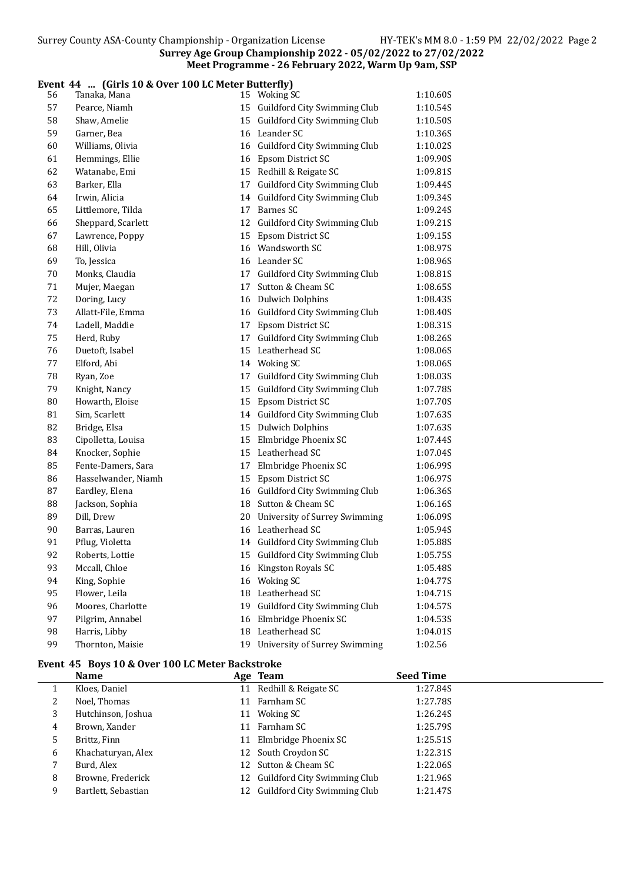#### Event 44 ... (Girls 10 & Over 100 LC Meter Butterfly)

| 56 | Tanaka, Mana        |    | 15 Woking SC                         | 1:10.60S |
|----|---------------------|----|--------------------------------------|----------|
| 57 | Pearce, Niamh       |    | 15 Guildford City Swimming Club      | 1:10.54S |
| 58 | Shaw, Amelie        | 15 | Guildford City Swimming Club         | 1:10.50S |
| 59 | Garner, Bea         |    | 16 Leander SC                        | 1:10.36S |
| 60 | Williams, Olivia    |    | 16 Guildford City Swimming Club      | 1:10.02S |
| 61 | Hemmings, Ellie     |    | 16 Epsom District SC                 | 1:09.90S |
| 62 | Watanabe, Emi       |    | 15 Redhill & Reigate SC              | 1:09.81S |
| 63 | Barker, Ella        |    | 17 Guildford City Swimming Club      | 1:09.44S |
| 64 | Irwin, Alicia       |    | 14 Guildford City Swimming Club      | 1:09.34S |
| 65 | Littlemore, Tilda   |    | 17 Barnes SC                         | 1:09.24S |
| 66 | Sheppard, Scarlett  |    | 12 Guildford City Swimming Club      | 1:09.21S |
| 67 | Lawrence, Poppy     |    | 15 Epsom District SC                 | 1:09.15S |
| 68 | Hill, Olivia        |    | 16 Wandsworth SC                     | 1:08.97S |
| 69 | To, Jessica         |    | 16 Leander SC                        | 1:08.96S |
| 70 | Monks, Claudia      | 17 | Guildford City Swimming Club         | 1:08.81S |
| 71 | Mujer, Maegan       | 17 | Sutton & Cheam SC                    | 1:08.65S |
| 72 | Doring, Lucy        |    | 16 Dulwich Dolphins                  | 1:08.43S |
| 73 | Allatt-File, Emma   |    | 16 Guildford City Swimming Club      | 1:08.40S |
| 74 | Ladell, Maddie      |    | 17 Epsom District SC                 | 1:08.31S |
| 75 | Herd, Ruby          |    | 17 Guildford City Swimming Club      | 1:08.26S |
| 76 | Duetoft, Isabel     |    | 15 Leatherhead SC                    | 1:08.06S |
| 77 | Elford, Abi         |    | 14 Woking SC                         | 1:08.06S |
| 78 | Ryan, Zoe           |    | 17 Guildford City Swimming Club      | 1:08.03S |
| 79 | Knight, Nancy       |    | 15 Guildford City Swimming Club      | 1:07.78S |
| 80 | Howarth, Eloise     |    | 15 Epsom District SC                 | 1:07.70S |
| 81 | Sim, Scarlett       |    | 14 Guildford City Swimming Club      | 1:07.63S |
| 82 | Bridge, Elsa        |    | 15 Dulwich Dolphins                  | 1:07.63S |
| 83 | Cipolletta, Louisa  |    | 15 Elmbridge Phoenix SC              | 1:07.44S |
| 84 | Knocker, Sophie     |    | 15 Leatherhead SC                    | 1:07.04S |
| 85 | Fente-Damers, Sara  | 17 | Elmbridge Phoenix SC                 | 1:06.99S |
| 86 | Hasselwander, Niamh | 15 | Epsom District SC                    | 1:06.97S |
| 87 | Eardley, Elena      | 16 | Guildford City Swimming Club         | 1:06.36S |
| 88 | Jackson, Sophia     | 18 | Sutton & Cheam SC                    | 1:06.16S |
| 89 | Dill, Drew          | 20 | <b>University of Surrey Swimming</b> | 1:06.09S |
| 90 | Barras, Lauren      |    | 16 Leatherhead SC                    | 1:05.94S |
| 91 | Pflug, Violetta     |    | 14 Guildford City Swimming Club      | 1:05.88S |
| 92 | Roberts, Lottie     |    | 15 Guildford City Swimming Club      | 1:05.75S |
| 93 | Mccall, Chloe       |    | 16 Kingston Royals SC                | 1:05.48S |
| 94 | King, Sophie        | 16 | <b>Woking SC</b>                     | 1:04.77S |
| 95 | Flower, Leila       | 18 | Leatherhead SC                       | 1:04.71S |
| 96 | Moores, Charlotte   | 19 | Guildford City Swimming Club         | 1:04.57S |
| 97 | Pilgrim, Annabel    | 16 | Elmbridge Phoenix SC                 | 1:04.53S |
| 98 | Harris, Libby       | 18 | Leatherhead SC                       | 1:04.01S |
| 99 | Thornton, Maisie    | 19 | University of Surrey Swimming        | 1:02.56  |

# Event 45 Boys 10 & Over 100 LC Meter Backstroke

|    | <b>Name</b>         |    | Age Team                        | <b>Seed Time</b> |
|----|---------------------|----|---------------------------------|------------------|
| 1  | Kloes, Daniel       | 11 | Redhill & Reigate SC            | 1:27.84S         |
| 2  | Noel, Thomas        | 11 | Farnham SC                      | 1:27.78S         |
| 3  | Hutchinson, Joshua  | 11 | Woking SC                       | 1:26.24S         |
| 4  | Brown, Xander       | 11 | Farnham SC                      | 1:25.79S         |
| 5. | Brittz, Finn        | 11 | Elmbridge Phoenix SC            | 1:25.51S         |
| 6  | Khachaturyan, Alex  |    | 12 South Croydon SC             | 1:22.31S         |
|    | Burd, Alex          |    | 12 Sutton & Cheam SC            | 1:22.06S         |
| 8  | Browne, Frederick   |    | 12 Guildford City Swimming Club | 1:21.96S         |
| 9  | Bartlett, Sebastian |    | 12 Guildford City Swimming Club | 1:21.47S         |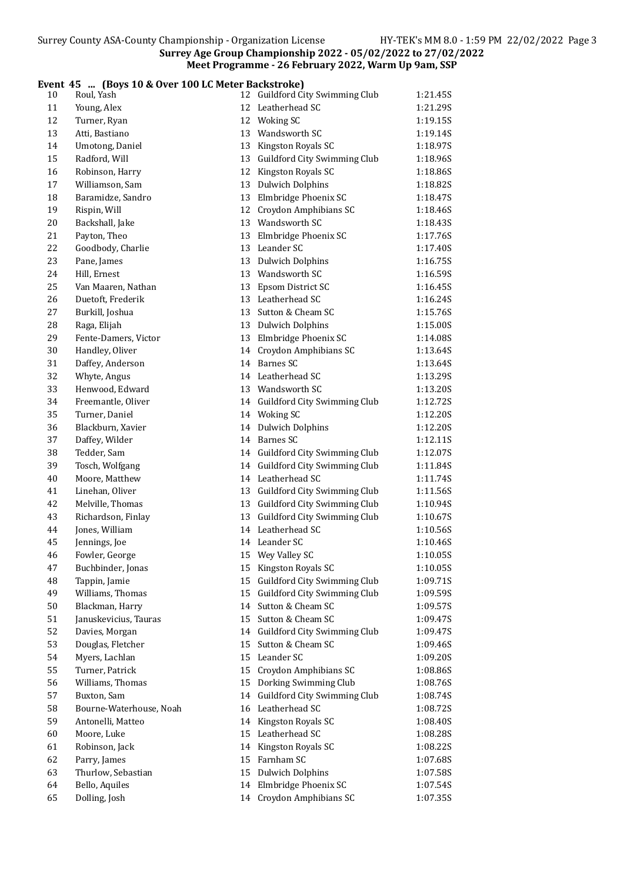## Event 45 ... (Boys 10 & Over 100 LC Meter Backstroke)

| 10     | Roul, Yash              |    | 12 Guildford City Swimming Club | 1:21.45S |
|--------|-------------------------|----|---------------------------------|----------|
| 11     | Young, Alex             |    | 12 Leatherhead SC               | 1:21.29S |
| 12     | Turner, Ryan            |    | 12 Woking SC                    | 1:19.15S |
| 13     | Atti, Bastiano          | 13 | Wandsworth SC                   | 1:19.14S |
| 14     | Umotong, Daniel         | 13 | Kingston Royals SC              | 1:18.97S |
| 15     | Radford, Will           | 13 | Guildford City Swimming Club    | 1:18.96S |
| 16     | Robinson, Harry         | 12 | Kingston Royals SC              | 1:18.86S |
| 17     | Williamson, Sam         | 13 | <b>Dulwich Dolphins</b>         | 1:18.82S |
| 18     | Baramidze, Sandro       | 13 | Elmbridge Phoenix SC            | 1:18.47S |
| 19     | Rispin, Will            | 12 | Croydon Amphibians SC           | 1:18.46S |
| $20\,$ | Backshall, Jake         |    | 13 Wandsworth SC                | 1:18.43S |
| 21     | Payton, Theo            |    | 13 Elmbridge Phoenix SC         | 1:17.76S |
| 22     | Goodbody, Charlie       |    | 13 Leander SC                   | 1:17.40S |
| 23     | Pane, James             |    | 13 Dulwich Dolphins             | 1:16.75S |
| 24     | Hill, Ernest            |    | 13 Wandsworth SC                | 1:16.59S |
| 25     | Van Maaren, Nathan      |    | 13 Epsom District SC            | 1:16.45S |
| 26     | Duetoft, Frederik       |    | 13 Leatherhead SC               | 1:16.24S |
| 27     | Burkill, Joshua         |    | 13 Sutton & Cheam SC            | 1:15.76S |
| 28     | Raga, Elijah            |    | 13 Dulwich Dolphins             | 1:15.00S |
| 29     | Fente-Damers, Victor    |    | 13 Elmbridge Phoenix SC         | 1:14.08S |
| 30     | Handley, Oliver         |    | 14 Croydon Amphibians SC        | 1:13.64S |
| 31     | Daffey, Anderson        |    | 14 Barnes SC                    | 1:13.64S |
| 32     | Whyte, Angus            |    | 14 Leatherhead SC               | 1:13.29S |
| 33     | Henwood, Edward         |    | 13 Wandsworth SC                | 1:13.20S |
| 34     | Freemantle, Oliver      |    | 14 Guildford City Swimming Club | 1:12.72S |
| 35     | Turner, Daniel          |    | 14 Woking SC                    | 1:12.20S |
| 36     | Blackburn, Xavier       |    | 14 Dulwich Dolphins             | 1:12.20S |
| 37     | Daffey, Wilder          |    | 14 Barnes SC                    | 1:12.11S |
| 38     | Tedder, Sam             |    | 14 Guildford City Swimming Club | 1:12.07S |
| 39     | Tosch, Wolfgang         |    | 14 Guildford City Swimming Club | 1:11.84S |
| $40\,$ | Moore, Matthew          |    | 14 Leatherhead SC               | 1:11.74S |
| 41     | Linehan, Oliver         | 13 | Guildford City Swimming Club    | 1:11.56S |
| 42     | Melville, Thomas        | 13 | Guildford City Swimming Club    | 1:10.94S |
| 43     | Richardson, Finlay      | 13 | Guildford City Swimming Club    | 1:10.67S |
| 44     | Jones, William          |    | 14 Leatherhead SC               | 1:10.56S |
| 45     | Jennings, Joe           |    | 14 Leander SC                   | 1:10.46S |
| 46     | Fowler, George          |    | 15 Wey Valley SC                | 1:10.05S |
| 47     | Buchbinder, Jonas       |    | 15 Kingston Royals SC           | 1:10.05S |
| 48     | Tappin, Jamie           | 15 | Guildford City Swimming Club    | 1:09.71S |
| 49     | Williams, Thomas        | 15 | Guildford City Swimming Club    | 1:09.59S |
| 50     | Blackman, Harry         | 14 | Sutton & Cheam SC               | 1:09.57S |
| 51     | Januskevicius, Tauras   | 15 | Sutton & Cheam SC               | 1:09.47S |
| 52     | Davies, Morgan          | 14 | Guildford City Swimming Club    | 1:09.47S |
| 53     | Douglas, Fletcher       | 15 | Sutton & Cheam SC               | 1:09.46S |
| 54     | Myers, Lachlan          | 15 | Leander SC                      | 1:09.20S |
| 55     | Turner, Patrick         | 15 | Croydon Amphibians SC           | 1:08.86S |
| 56     | Williams, Thomas        | 15 | Dorking Swimming Club           | 1:08.76S |
| 57     | Buxton, Sam             | 14 | Guildford City Swimming Club    | 1:08.74S |
| 58     | Bourne-Waterhouse, Noah |    | 16 Leatherhead SC               | 1:08.72S |
| 59     | Antonelli, Matteo       |    | 14 Kingston Royals SC           | 1:08.40S |
| 60     | Moore, Luke             |    | 15 Leatherhead SC               | 1:08.285 |
| 61     | Robinson, Jack          |    | 14 Kingston Royals SC           | 1:08.22S |
| 62     | Parry, James            | 15 | Farnham SC                      | 1:07.68S |
| 63     | Thurlow, Sebastian      |    | 15 Dulwich Dolphins             | 1:07.58S |
| 64     | Bello, Aquiles          |    | 14 Elmbridge Phoenix SC         | 1:07.54S |
| 65     | Dolling, Josh           |    | 14 Croydon Amphibians SC        | 1:07.35S |
|        |                         |    |                                 |          |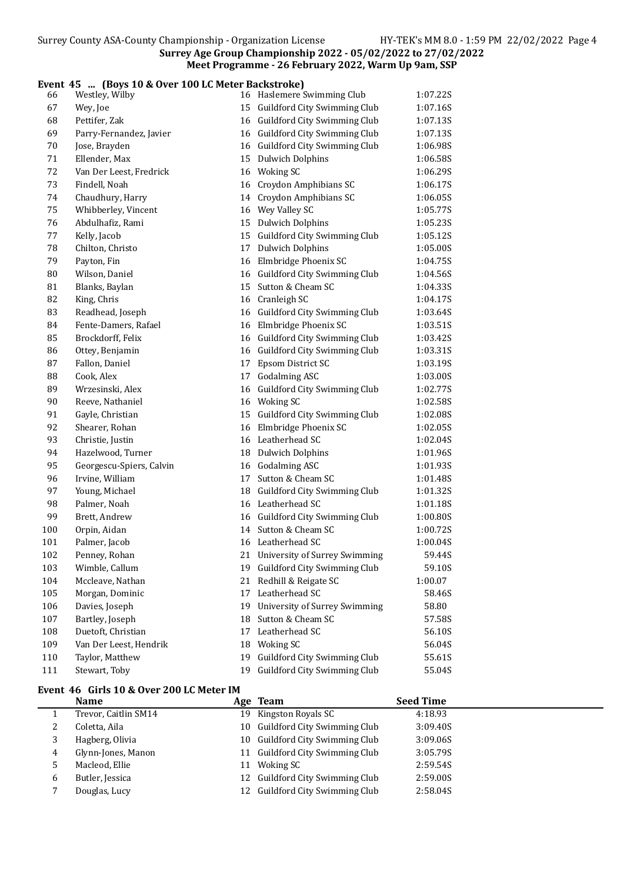## Event 45 ... (Boys 10 & Over 100 LC Meter Backstroke)

| 66     | Westley, Wilby           |    | 16 Haslemere Swimming Club           | 1:07.22S |  |
|--------|--------------------------|----|--------------------------------------|----------|--|
| 67     | Wey, Joe                 |    | 15 Guildford City Swimming Club      | 1:07.16S |  |
| 68     | Pettifer, Zak            |    | 16 Guildford City Swimming Club      | 1:07.13S |  |
| 69     | Parry-Fernandez, Javier  |    | 16 Guildford City Swimming Club      | 1:07.13S |  |
| $70\,$ | Jose, Brayden            |    | 16 Guildford City Swimming Club      | 1:06.98S |  |
| 71     | Ellender, Max            |    | 15 Dulwich Dolphins                  | 1:06.58S |  |
| 72     | Van Der Leest, Fredrick  |    | 16 Woking SC                         | 1:06.29S |  |
| 73     | Findell, Noah            | 16 | Croydon Amphibians SC                | 1:06.17S |  |
| 74     | Chaudhury, Harry         | 14 | Croydon Amphibians SC                | 1:06.05S |  |
| 75     | Whibberley, Vincent      |    | 16 Wey Valley SC                     | 1:05.77S |  |
| 76     | Abdulhafiz, Rami         |    | 15 Dulwich Dolphins                  | 1:05.23S |  |
| 77     | Kelly, Jacob             |    | 15 Guildford City Swimming Club      | 1:05.12S |  |
| 78     | Chilton, Christo         |    | 17 Dulwich Dolphins                  | 1:05.00S |  |
| 79     | Payton, Fin              |    | 16 Elmbridge Phoenix SC              | 1:04.75S |  |
| 80     | Wilson, Daniel           |    | 16 Guildford City Swimming Club      | 1:04.56S |  |
| 81     | Blanks, Baylan           |    | 15 Sutton & Cheam SC                 | 1:04.33S |  |
| 82     | King, Chris              |    | 16 Cranleigh SC                      | 1:04.17S |  |
| 83     | Readhead, Joseph         |    | 16 Guildford City Swimming Club      | 1:03.64S |  |
| 84     | Fente-Damers, Rafael     |    | 16 Elmbridge Phoenix SC              | 1:03.51S |  |
| 85     | Brockdorff, Felix        |    | 16 Guildford City Swimming Club      | 1:03.42S |  |
| 86     | Ottey, Benjamin          |    | 16 Guildford City Swimming Club      | 1:03.31S |  |
| 87     | Fallon, Daniel           |    | 17 Epsom District SC                 | 1:03.19S |  |
| 88     | Cook, Alex               |    | 17 Godalming ASC                     | 1:03.00S |  |
| 89     | Wrzesinski, Alex         |    | 16 Guildford City Swimming Club      | 1:02.77S |  |
| 90     | Reeve, Nathaniel         |    | 16 Woking SC                         | 1:02.58S |  |
| 91     | Gayle, Christian         |    | 15 Guildford City Swimming Club      | 1:02.08S |  |
| 92     | Shearer, Rohan           |    | 16 Elmbridge Phoenix SC              | 1:02.05S |  |
| 93     | Christie, Justin         |    | 16 Leatherhead SC                    | 1:02.04S |  |
| 94     | Hazelwood, Turner        |    | 18 Dulwich Dolphins                  | 1:01.96S |  |
| 95     | Georgescu-Spiers, Calvin |    | 16 Godalming ASC                     | 1:01.93S |  |
| 96     | Irvine, William          | 17 | Sutton & Cheam SC                    | 1:01.48S |  |
| 97     | Young, Michael           | 18 | Guildford City Swimming Club         | 1:01.32S |  |
| 98     | Palmer, Noah             | 16 | Leatherhead SC                       | 1:01.18S |  |
| 99     | Brett, Andrew            | 16 | Guildford City Swimming Club         | 1:00.80S |  |
| 100    | Orpin, Aidan             |    | 14 Sutton & Cheam SC                 | 1:00.72S |  |
| 101    | Palmer, Jacob            |    | 16 Leatherhead SC                    | 1:00.04S |  |
| 102    | Penney, Rohan            |    | 21 University of Surrey Swimming     | 59.44S   |  |
| 103    | Wimble, Callum           |    | 19 Guildford City Swimming Club      | 59.10S   |  |
| 104    | Mccleave, Nathan         | 21 | Redhill & Reigate SC                 | 1:00.07  |  |
| 105    | Morgan, Dominic          | 17 | Leatherhead SC                       | 58.46S   |  |
| 106    | Davies, Joseph           | 19 | <b>University of Surrey Swimming</b> | 58.80    |  |
| 107    | Bartley, Joseph          | 18 | Sutton & Cheam SC                    | 57.58S   |  |
| 108    | Duetoft, Christian       | 17 | Leatherhead SC                       | 56.10S   |  |
| 109    | Van Der Leest, Hendrik   | 18 | <b>Woking SC</b>                     | 56.04S   |  |
| 110    | Taylor, Matthew          | 19 | Guildford City Swimming Club         | 55.61S   |  |
| 111    | Stewart, Toby            | 19 | Guildford City Swimming Club         | 55.04S   |  |

#### Event 46 Girls 10 & Over 200 LC Meter IM

|   | <b>Name</b>          |    | Age Team                        | <b>Seed Time</b> |
|---|----------------------|----|---------------------------------|------------------|
|   | Trevor, Caitlin SM14 |    | 19 Kingston Royals SC           | 4:18.93          |
| 4 | Coletta, Aila        |    | 10 Guildford City Swimming Club | 3:09.40S         |
| 3 | Hagberg, Olivia      |    | 10 Guildford City Swimming Club | 3:09.06S         |
| 4 | Glynn-Jones, Manon   |    | 11 Guildford City Swimming Club | 3:05.79S         |
|   | Macleod, Ellie       | 11 | Woking SC                       | 2:59.54S         |
| 6 | Butler, Jessica      |    | 12 Guildford City Swimming Club | 2:59.00S         |
|   | Douglas, Lucy        |    | 12 Guildford City Swimming Club | 2:58.04S         |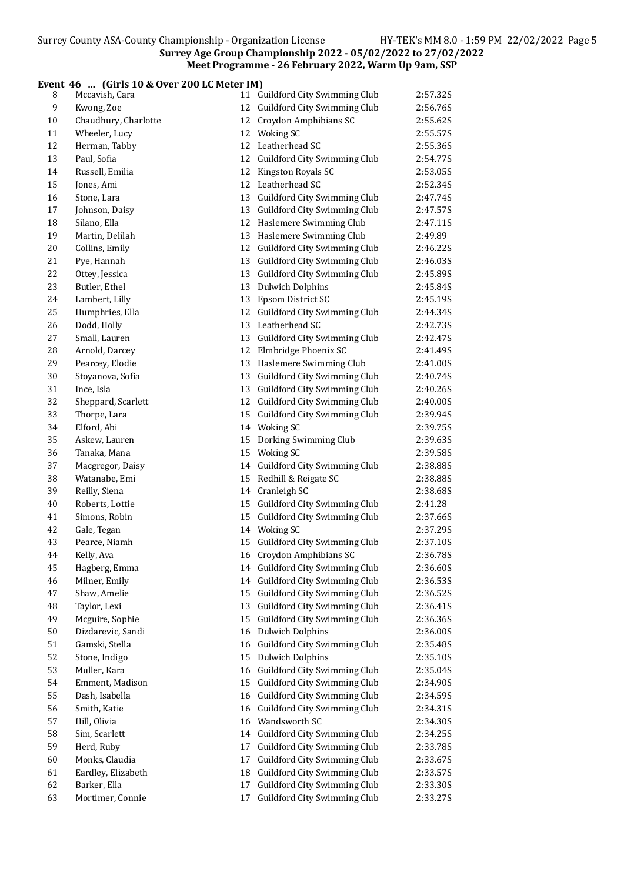# **Event 46 ... (Girls 10 & Over 200 LC Meter IM)**<br>8 Mccavish, Cara 11 Gi

| 8  | Mccavish, Cara       |    | 11 Guildford City Swimming Club | 2:57.32S |
|----|----------------------|----|---------------------------------|----------|
| 9  | Kwong, Zoe           |    | 12 Guildford City Swimming Club | 2:56.76S |
| 10 | Chaudhury, Charlotte |    | 12 Croydon Amphibians SC        | 2:55.62S |
| 11 | Wheeler, Lucy        |    | 12 Woking SC                    | 2:55.57S |
| 12 | Herman, Tabby        |    | 12 Leatherhead SC               | 2:55.36S |
| 13 | Paul, Sofia          |    | 12 Guildford City Swimming Club | 2:54.77S |
| 14 | Russell, Emilia      |    | 12 Kingston Royals SC           | 2:53.05S |
| 15 | Jones, Ami           |    | 12 Leatherhead SC               | 2:52.34S |
| 16 | Stone, Lara          |    | 13 Guildford City Swimming Club | 2:47.74S |
| 17 | Johnson, Daisy       |    | 13 Guildford City Swimming Club | 2:47.57S |
| 18 | Silano, Ella         |    | 12 Haslemere Swimming Club      | 2:47.11S |
| 19 | Martin, Delilah      |    | 13 Haslemere Swimming Club      | 2:49.89  |
| 20 | Collins, Emily       |    | 12 Guildford City Swimming Club | 2:46.22S |
| 21 | Pye, Hannah          |    | 13 Guildford City Swimming Club | 2:46.03S |
| 22 | Ottey, Jessica       |    | 13 Guildford City Swimming Club | 2:45.89S |
| 23 | Butler, Ethel        |    | 13 Dulwich Dolphins             | 2:45.84S |
| 24 | Lambert, Lilly       |    | 13 Epsom District SC            | 2:45.19S |
| 25 | Humphries, Ella      |    | 12 Guildford City Swimming Club | 2:44.34S |
| 26 | Dodd, Holly          |    | 13 Leatherhead SC               | 2:42.735 |
| 27 | Small, Lauren        |    | 13 Guildford City Swimming Club | 2:42.47S |
| 28 | Arnold, Darcey       |    | 12 Elmbridge Phoenix SC         | 2:41.49S |
| 29 | Pearcey, Elodie      |    | 13 Haslemere Swimming Club      | 2:41.00S |
| 30 | Stoyanova, Sofia     |    | 13 Guildford City Swimming Club | 2:40.74S |
| 31 | Ince, Isla           |    | 13 Guildford City Swimming Club | 2:40.26S |
| 32 | Sheppard, Scarlett   |    | 12 Guildford City Swimming Club | 2:40.00S |
| 33 | Thorpe, Lara         |    | 15 Guildford City Swimming Club | 2:39.94S |
| 34 | Elford, Abi          |    | 14 Woking SC                    | 2:39.75S |
| 35 | Askew, Lauren        |    | 15 Dorking Swimming Club        | 2:39.63S |
| 36 | Tanaka, Mana         |    | 15 Woking SC                    | 2:39.58S |
| 37 | Macgregor, Daisy     |    | 14 Guildford City Swimming Club | 2:38.88S |
| 38 | Watanabe, Emi        |    | 15 Redhill & Reigate SC         | 2:38.88S |
| 39 | Reilly, Siena        |    | 14 Cranleigh SC                 | 2:38.68S |
| 40 | Roberts, Lottie      |    | 15 Guildford City Swimming Club | 2:41.28  |
| 41 | Simons, Robin        |    | 15 Guildford City Swimming Club | 2:37.66S |
| 42 | Gale, Tegan          |    | 14 Woking SC                    | 2:37.29S |
| 43 | Pearce, Niamh        |    | 15 Guildford City Swimming Club | 2:37.10S |
| 44 | Kelly, Ava           |    | 16 Croydon Amphibians SC        | 2:36.78S |
| 45 | Hagberg, Emma        |    | 14 Guildford City Swimming Club | 2:36.60S |
| 46 | Milner, Emily        |    | 14 Guildford City Swimming Club | 2:36.53S |
| 47 | Shaw, Amelie         |    | 15 Guildford City Swimming Club | 2:36.52S |
| 48 | Taylor, Lexi         |    | 13 Guildford City Swimming Club | 2:36.41S |
| 49 | Mcguire, Sophie      |    | 15 Guildford City Swimming Club | 2:36.36S |
| 50 | Dizdarevic, Sandi    |    | 16 Dulwich Dolphins             | 2:36.00S |
| 51 | Gamski, Stella       |    | 16 Guildford City Swimming Club | 2:35.48S |
| 52 | Stone, Indigo        |    | 15 Dulwich Dolphins             | 2:35.10S |
| 53 | Muller, Kara         |    | 16 Guildford City Swimming Club | 2:35.04S |
| 54 | Emment, Madison      |    | 15 Guildford City Swimming Club | 2:34.90S |
| 55 | Dash, Isabella       |    | 16 Guildford City Swimming Club | 2:34.59S |
| 56 | Smith, Katie         |    | 16 Guildford City Swimming Club | 2:34.31S |
| 57 | Hill, Olivia         |    | 16 Wandsworth SC                | 2:34.30S |
| 58 | Sim, Scarlett        |    | 14 Guildford City Swimming Club | 2:34.25S |
| 59 | Herd, Ruby           |    | 17 Guildford City Swimming Club | 2:33.78S |
| 60 | Monks, Claudia       |    | 17 Guildford City Swimming Club | 2:33.67S |
| 61 | Eardley, Elizabeth   |    | 18 Guildford City Swimming Club | 2:33.57S |
| 62 | Barker, Ella         |    | 17 Guildford City Swimming Club | 2:33.30S |
| 63 | Mortimer, Connie     | 17 | Guildford City Swimming Club    | 2:33.27S |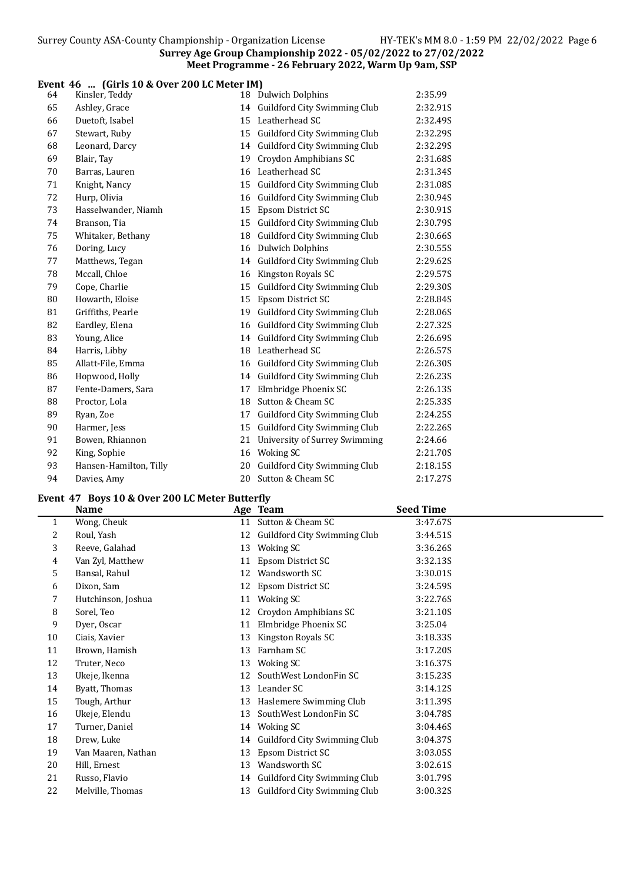## Event 46 ... (Girls 10 & Over 200 LC Meter IM)

| 64 | Kinsler, Teddy         |    | 18 Dulwich Dolphins                  | 2:35.99  |
|----|------------------------|----|--------------------------------------|----------|
| 65 | Ashley, Grace          |    | 14 Guildford City Swimming Club      | 2:32.91S |
| 66 | Duetoft, Isabel        | 15 | Leatherhead SC                       | 2:32.49S |
| 67 | Stewart, Ruby          | 15 | Guildford City Swimming Club         | 2:32.29S |
| 68 | Leonard, Darcy         | 14 | Guildford City Swimming Club         | 2:32.29S |
| 69 | Blair, Tay             | 19 | Croydon Amphibians SC                | 2:31.68S |
| 70 | Barras, Lauren         |    | 16 Leatherhead SC                    | 2:31.34S |
| 71 | Knight, Nancy          |    | 15 Guildford City Swimming Club      | 2:31.08S |
| 72 | Hurp, Olivia           | 16 | Guildford City Swimming Club         | 2:30.94S |
| 73 | Hasselwander, Niamh    | 15 | Epsom District SC                    | 2:30.91S |
| 74 | Branson, Tia           | 15 | Guildford City Swimming Club         | 2:30.79S |
| 75 | Whitaker, Bethany      | 18 | Guildford City Swimming Club         | 2:30.66S |
| 76 | Doring, Lucy           |    | 16 Dulwich Dolphins                  | 2:30.55S |
| 77 | Matthews, Tegan        |    | 14 Guildford City Swimming Club      | 2:29.62S |
| 78 | Mccall, Chloe          |    | 16 Kingston Royals SC                | 2:29.57S |
| 79 | Cope, Charlie          | 15 | Guildford City Swimming Club         | 2:29.30S |
| 80 | Howarth, Eloise        | 15 | Epsom District SC                    | 2:28.84S |
| 81 | Griffiths, Pearle      | 19 | Guildford City Swimming Club         | 2:28.06S |
| 82 | Eardley, Elena         |    | 16 Guildford City Swimming Club      | 2:27.32S |
| 83 | Young, Alice           |    | 14 Guildford City Swimming Club      | 2:26.69S |
| 84 | Harris, Libby          |    | 18 Leatherhead SC                    | 2:26.57S |
| 85 | Allatt-File, Emma      |    | 16 Guildford City Swimming Club      | 2:26.30S |
| 86 | Hopwood, Holly         | 14 | Guildford City Swimming Club         | 2:26.23S |
| 87 | Fente-Damers, Sara     | 17 | Elmbridge Phoenix SC                 | 2:26.13S |
| 88 | Proctor, Lola          | 18 | Sutton & Cheam SC                    | 2:25.33S |
| 89 | Ryan, Zoe              | 17 | Guildford City Swimming Club         | 2:24.25S |
| 90 | Harmer, Jess           | 15 | Guildford City Swimming Club         | 2:22.26S |
| 91 | Bowen, Rhiannon        | 21 | <b>University of Surrey Swimming</b> | 2:24.66  |
| 92 | King, Sophie           | 16 | Woking SC                            | 2:21.70S |
| 93 | Hansen-Hamilton, Tilly | 20 | Guildford City Swimming Club         | 2:18.15S |
| 94 | Davies, Amy            |    | 20 Sutton & Cheam SC                 | 2:17.27S |

# Event 47 Boys 10 & Over 200 LC Meter Butterfly

|              | <b>Name</b>        |    | Age Team                        | <b>Seed Time</b> |
|--------------|--------------------|----|---------------------------------|------------------|
| $\mathbf{1}$ | Wong, Cheuk        | 11 | Sutton & Cheam SC               | 3:47.67S         |
| 2            | Roul, Yash         | 12 | Guildford City Swimming Club    | 3:44.51S         |
| 3            | Reeve, Galahad     | 13 | Woking SC                       | 3:36.26S         |
| 4            | Van Zyl, Matthew   | 11 | Epsom District SC               | 3:32.13S         |
| 5            | Bansal, Rahul      | 12 | Wandsworth SC                   | 3:30.01S         |
| 6            | Dixon, Sam         | 12 | Epsom District SC               | 3:24.59S         |
| 7            | Hutchinson, Joshua | 11 | Woking SC                       | 3:22.76S         |
| 8            | Sorel, Teo         | 12 | Croydon Amphibians SC           | 3:21.10S         |
| 9            | Dyer, Oscar        | 11 | Elmbridge Phoenix SC            | 3:25.04          |
| 10           | Ciais, Xavier      | 13 | Kingston Royals SC              | 3:18.33S         |
| 11           | Brown, Hamish      | 13 | Farnham SC                      | 3:17.20S         |
| 12           | Truter, Neco       | 13 | Woking SC                       | 3:16.37S         |
| 13           | Ukeje, Ikenna      | 12 | SouthWest LondonFin SC          | 3:15.23S         |
| 14           | Byatt, Thomas      | 13 | Leander SC                      | 3:14.12S         |
| 15           | Tough, Arthur      | 13 | Haslemere Swimming Club         | 3:11.39S         |
| 16           | Ukeje, Elendu      | 13 | SouthWest LondonFin SC          | 3:04.78S         |
| 17           | Turner, Daniel     | 14 | Woking SC                       | 3:04.46S         |
| 18           | Drew, Luke         | 14 | Guildford City Swimming Club    | 3:04.37S         |
| 19           | Van Maaren, Nathan | 13 | Epsom District SC               | 3:03.05S         |
| 20           | Hill, Ernest       | 13 | Wandsworth SC                   | 3:02.61S         |
| 21           | Russo, Flavio      | 14 | Guildford City Swimming Club    | 3:01.79S         |
| 22           | Melville, Thomas   |    | 13 Guildford City Swimming Club | 3:00.32S         |